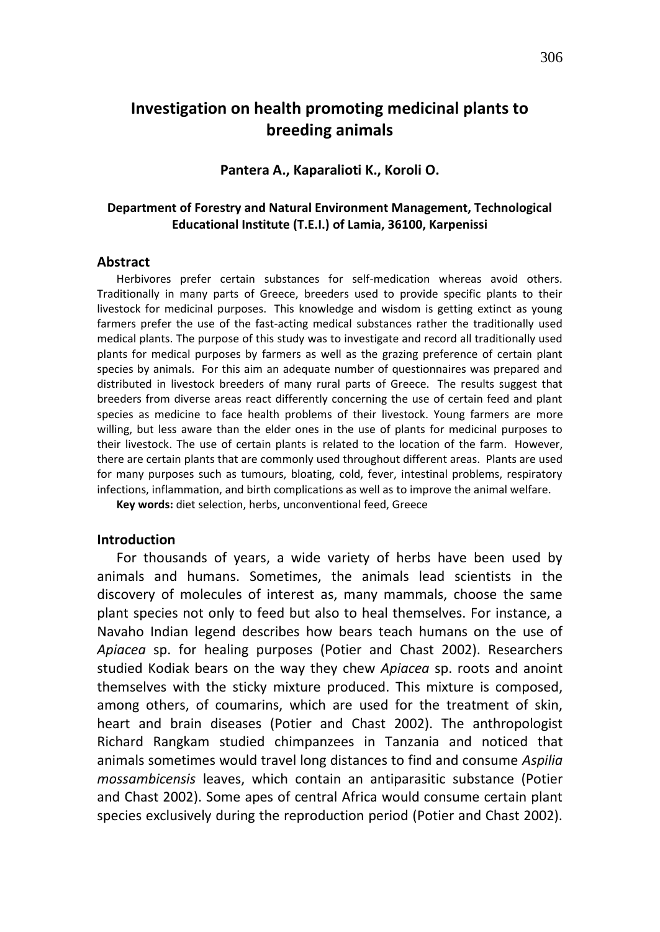# **Investigation on health promoting medicinal plants to breeding animals**

#### **Pantera A., Kaparalioti K., Koroli O.**

#### **Department of Forestry and Natural Environment Management, Technological Educational Institute (T.E.I.) of Lamia, 36100, Karpenissi**

#### **Abstract**

Herbivores prefer certain substances for self-medication whereas avoid others. Traditionally in many parts of Greece, breeders used to provide specific plants to their livestock for medicinal purposes. This knowledge and wisdom is getting extinct as young farmers prefer the use of the fast-acting medical substances rather the traditionally used medical plants. The purpose of this study was to investigate and record all traditionally used plants for medical purposes by farmers as well as the grazing preference of certain plant species by animals. For this aim an adequate number of questionnaires was prepared and distributed in livestock breeders of many rural parts of Greece. The results suggest that breeders from diverse areas react differently concerning the use of certain feed and plant species as medicine to face health problems of their livestock. Young farmers are more willing, but less aware than the elder ones in the use of plants for medicinal purposes to their livestock. The use of certain plants is related to the location of the farm. However, there are certain plants that are commonly used throughout different areas. Plants are used for many purposes such as tumours, bloating, cold, fever, intestinal problems, respiratory infections, inflammation, and birth complications as well as to improve the animal welfare.

**Key words:** diet selection, herbs, unconventional feed, Greece

#### **Introduction**

For thousands of years, a wide variety of herbs have been used by animals and humans. Sometimes, the animals lead scientists in the discovery of molecules of interest as, many mammals, choose the same plant species not only to feed but also to heal themselves. For instance, a Navaho Indian legend describes how bears teach humans on the use of *Apiacea* sp. for healing purposes (Potier and Chast 2002). Researchers studied Kodiak bears on the way they chew *Apiacea* sp. roots and anoint themselves with the sticky mixture produced. This mixture is composed, among others, of coumarins, which are used for the treatment of skin, heart and brain diseases (Potier and Chast 2002). The anthropologist Richard Rangkam studied chimpanzees in Tanzania and noticed that animals sometimes would travel long distances to find and consume *Aspilia mossambicensis* leaves, which contain an antiparasitic substance (Potier and Chast 2002). Some apes of central Africa would consume certain plant species exclusively during the reproduction period (Potier and Chast 2002).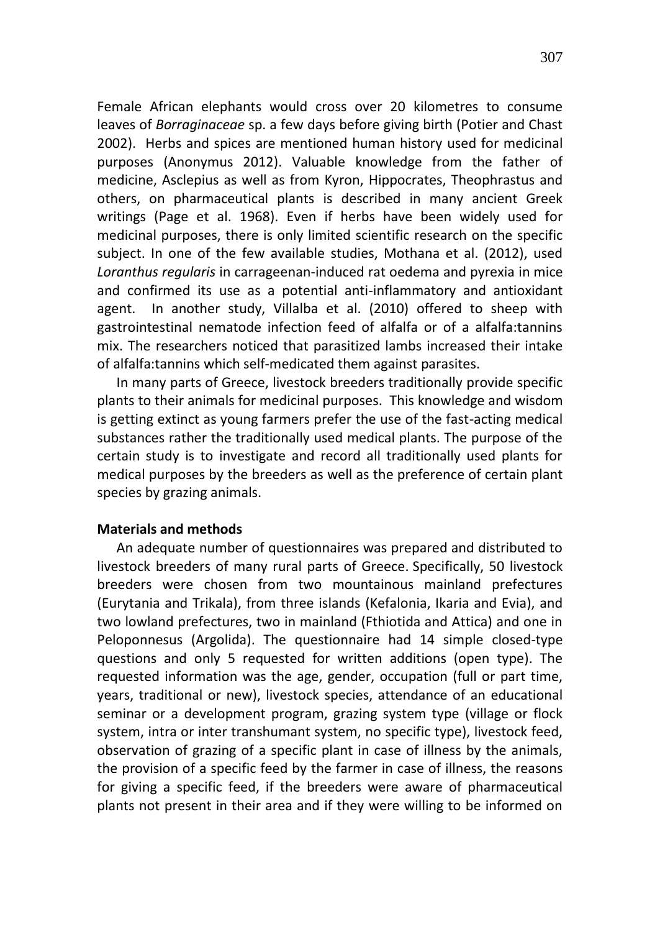Female African elephants would cross over 20 kilometres to consume leaves of *Βorraginaceae* sp. a few days before giving birth (Potier and Chast 2002). Herbs and spices are mentioned human history used for medicinal purposes (Anonymus 2012). Valuable knowledge from the father of medicine, Asclepius as well as from Kyron, Hippocrates, Theophrastus and others, on pharmaceutical plants is described in many ancient Greek writings (Page et al. 1968). Even if herbs have been widely used for medicinal purposes, there is only limited scientific research on the specific subject. In one of the few available studies, Mothana et al. (2012), used *Loranthus regularis* in carrageenan-induced rat oedema and pyrexia in mice and confirmed its use as a potential anti-inflammatory and antioxidant agent. In another study, Villalba et al. (2010) offered to sheep with gastrointestinal nematode infection feed of alfalfa or of a alfalfa:tannins mix. The researchers noticed that parasitized lambs increased their intake of alfalfa:tannins which self-medicated them against parasites.

In many parts of Greece, livestock breeders traditionally provide specific plants to their animals for medicinal purposes. This knowledge and wisdom is getting extinct as young farmers prefer the use of the fast-acting medical substances rather the traditionally used medical plants. The purpose of the certain study is to investigate and record all traditionally used plants for medical purposes by the breeders as well as the preference of certain plant species by grazing animals.

## **Materials and methods**

An adequate number of questionnaires was prepared and distributed to livestock breeders of many rural parts of Greece. Specifically, 50 livestock breeders were chosen from two mountainous mainland prefectures (Eurytania and Trikala), from three islands (Kefalonia, Ikaria and Evia), and two lowland prefectures, two in mainland (Fthiotida and Attica) and one in Peloponnesus (Argolida). The questionnaire had 14 simple closed-type questions and only 5 requested for written additions (open type). The requested information was the age, gender, occupation (full or part time, years, traditional or new), livestock species, attendance of an educational seminar or a development program, grazing system type (village or flock system, intra or inter transhumant system, no specific type), livestock feed, observation of grazing of a specific plant in case of illness by the animals, the provision of a specific feed by the farmer in case of illness, the reasons for giving a specific feed, if the breeders were aware of pharmaceutical plants not present in their area and if they were willing to be informed on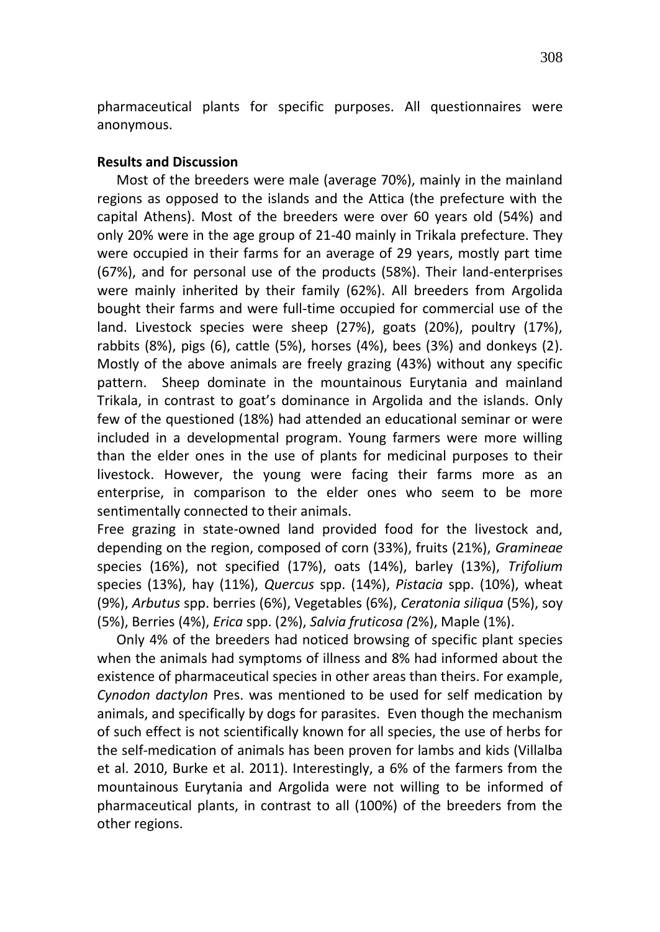pharmaceutical plants for specific purposes. All questionnaires were anonymous.

#### **Results and Discussion**

Most of the breeders were male (average 70%), mainly in the mainland regions as opposed to the islands and the Attica (the prefecture with the capital Athens). Most of the breeders were over 60 years old (54%) and only 20% were in the age group of 21-40 mainly in Trikala prefecture. They were occupied in their farms for an average of 29 years, mostly part time (67%), and for personal use of the products (58%). Their land-enterprises were mainly inherited by their family (62%). All breeders from Argolida bought their farms and were full-time occupied for commercial use of the land. Livestock species were sheep (27%), goats (20%), poultry (17%), rabbits (8%), pigs (6), cattle (5%), horses (4%), bees (3%) and donkeys (2). Mostly of the above animals are freely grazing (43%) without any specific pattern. Sheep dominate in the mountainous Eurytania and mainland Trikala, in contrast to goat's dominance in Argolida and the islands. Only few of the questioned (18%) had attended an educational seminar or were included in a developmental program. Young farmers were more willing than the elder ones in the use of plants for medicinal purposes to their livestock. However, the young were facing their farms more as an enterprise, in comparison to the elder ones who seem to be more sentimentally connected to their animals.

Free grazing in state-owned land provided food for the livestock and, depending on the region, composed of corn (33%), fruits (21%), *Gramineae*  species (16%), not specified (17%), oats (14%), barley (13%), *Trifolium* species (13%), hay (11%), *Quercus* spp. (14%), *Pistacia* spp. (10%), wheat (9%), *Arbutus* spp. berries (6%), Vegetables (6%), *Ceratonia siliqua* (5%), soy (5%), Berries (4%), *Erica* spp. (2%), *Salvia fruticosa (*2%), Maple (1%).

Only 4% of the breeders had noticed browsing of specific plant species when the animals had symptoms of illness and 8% had informed about the existence of pharmaceutical species in other areas than theirs. For example, *Cynodon dactylon* Pres. was mentioned to be used for self medication by animals, and specifically by dogs for parasites. Even though the mechanism of such effect is not scientifically known for all species, the use of herbs for the self-medication of animals has been proven for lambs and kids (Villalba et al. 2010, Burke et al. 2011). Interestingly, a 6% of the farmers from the mountainous Eurytania and Argolida were not willing to be informed of pharmaceutical plants, in contrast to all (100%) of the breeders from the other regions.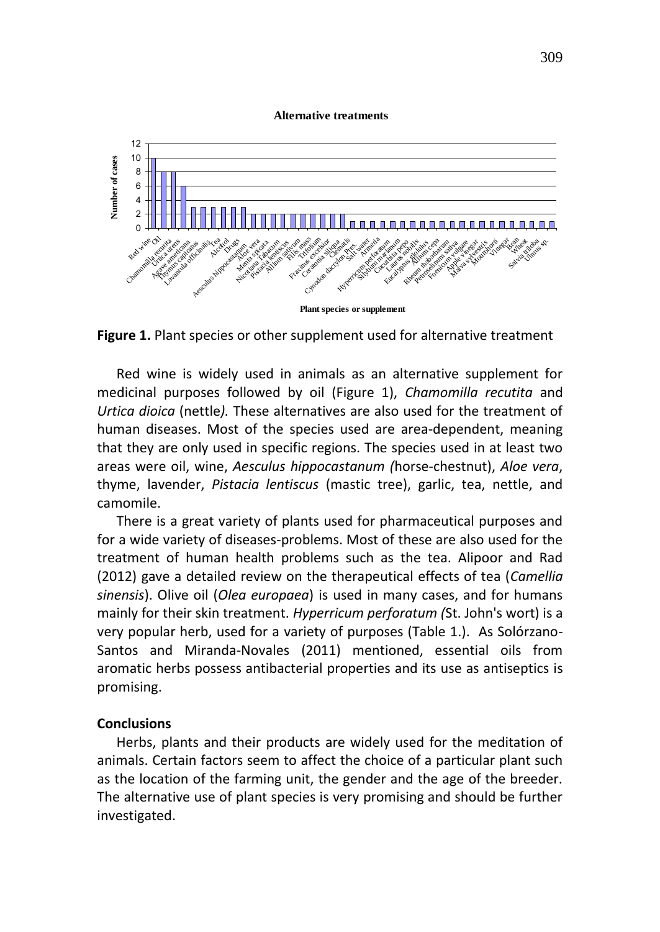#### **Alternative treatments**



**Figure 1.** Plant species or other supplement used for alternative treatment

Red wine is widely used in animals as an alternative supplement for medicinal purposes followed by oil (Figure 1), *Chamomilla recutita* and *Urtica dioica* (nettle*).* These alternatives are also used for the treatment of human diseases. Most of the species used are area-dependent, meaning that they are only used in specific regions. The species used in at least two areas were oil, wine, *Aesculus hippocastanum (*horse-chestnut), *Aloe vera*, thyme, lavender, *Pistacia lentiscus* (mastic tree), garlic, tea, nettle, and camomile.

There is a great variety of plants used for pharmaceutical purposes and for a wide variety of diseases-problems. Most of these are also used for the treatment of human health problems such as the tea. Alipoor and Rad (2012) gave a detailed review on the therapeutical effects of tea (*Camellia sinensis*). Olive oil (*Olea europaea*) is used in many cases, and for humans mainly for their skin treatment. *Hyperricum perforatum (*St. John's wort) is a very popular herb, used for a variety of purposes (Table 1.). As Solórzano-Santos and Miranda-Novales (2011) mentioned, essential oils from aromatic herbs possess antibacterial properties and its use as antiseptics is promising.

## **Conclusions**

Herbs, plants and their products are widely used for the meditation of animals. Certain factors seem to affect the choice of a particular plant such as the location of the farming unit, the gender and the age of the breeder. The alternative use of plant species is very promising and should be further investigated.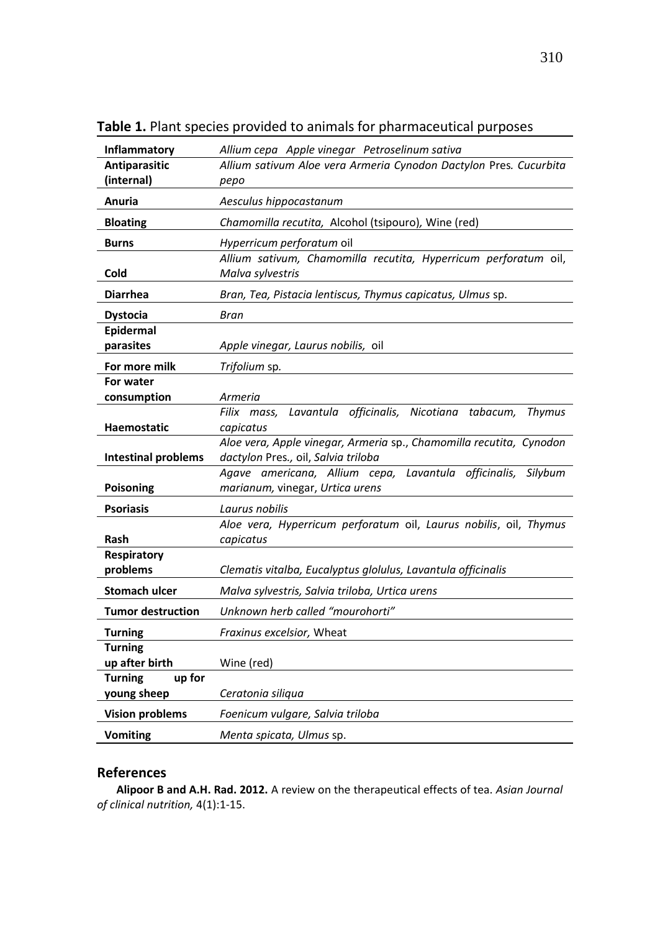| Inflammatory                            | Allium cepa Apple vinegar Petroselinum sativa                                                              |
|-----------------------------------------|------------------------------------------------------------------------------------------------------------|
| Antiparasitic                           | Allium sativum Aloe vera Armeria Cynodon Dactylon Pres. Cucurbita                                          |
| (internal)                              | pepo                                                                                                       |
| Anuria                                  | Aesculus hippocastanum                                                                                     |
| <b>Bloating</b>                         | Chamomilla recutita, Alcohol (tsipouro), Wine (red)                                                        |
| <b>Burns</b>                            | Hyperricum perforatum oil                                                                                  |
|                                         | Allium sativum, Chamomilla recutita, Hyperricum perforatum oil,                                            |
| Cold                                    | Malva sylvestris                                                                                           |
| <b>Diarrhea</b>                         | Bran, Tea, Pistacia lentiscus, Thymus capicatus, Ulmus sp.                                                 |
| <b>Dystocia</b>                         | Bran                                                                                                       |
| Epidermal                               |                                                                                                            |
| parasites                               | Apple vinegar, Laurus nobilis, oil                                                                         |
| For more milk                           | Trifolium sp.                                                                                              |
| For water                               |                                                                                                            |
| consumption                             | Armeria                                                                                                    |
|                                         | Lavantula officinalis, Nicotiana tabacum,<br>Filix mass,<br>Thymus                                         |
| <b>Haemostatic</b>                      | capicatus                                                                                                  |
| <b>Intestinal problems</b>              | Aloe vera, Apple vinegar, Armeria sp., Chamomilla recutita, Cynodon<br>dactylon Pres., oil, Salvia triloba |
|                                         | Agave americana, Allium cepa,<br>Lavantula officinalis, Silybum                                            |
| Poisoning                               | marianum, vinegar, Urtica urens                                                                            |
| <b>Psoriasis</b>                        | Laurus nobilis                                                                                             |
|                                         | Aloe vera, Hyperricum perforatum oil, Laurus nobilis, oil, Thymus                                          |
| Rash                                    | capicatus                                                                                                  |
| Respiratory                             |                                                                                                            |
|                                         |                                                                                                            |
| problems                                | Clematis vitalba, Eucalyptus glolulus, Lavantula officinalis                                               |
| Stomach ulcer                           | Malva sylvestris, Salvia triloba, Urtica urens                                                             |
| <b>Tumor destruction</b>                | Unknown herb called "mourohorti"                                                                           |
| <b>Turning</b>                          | Fraxinus excelsior, Wheat                                                                                  |
| <b>Turning</b>                          |                                                                                                            |
| up after birth                          | Wine (red)                                                                                                 |
| <b>Turning</b><br>up for<br>young sheep | Ceratonia siliqua                                                                                          |
| <b>Vision problems</b>                  | Foenicum vulgare, Salvia triloba                                                                           |
| <b>Vomiting</b>                         | Menta spicata, Ulmus sp.                                                                                   |

**Table 1.** Plant species provided to animals for pharmaceutical purposes

# **References**

**Alipoor B and A.H. Rad. 2012.** A review on the therapeutical effects of tea. *Asian Journal of clinical nutrition,* 4(1):1-15.